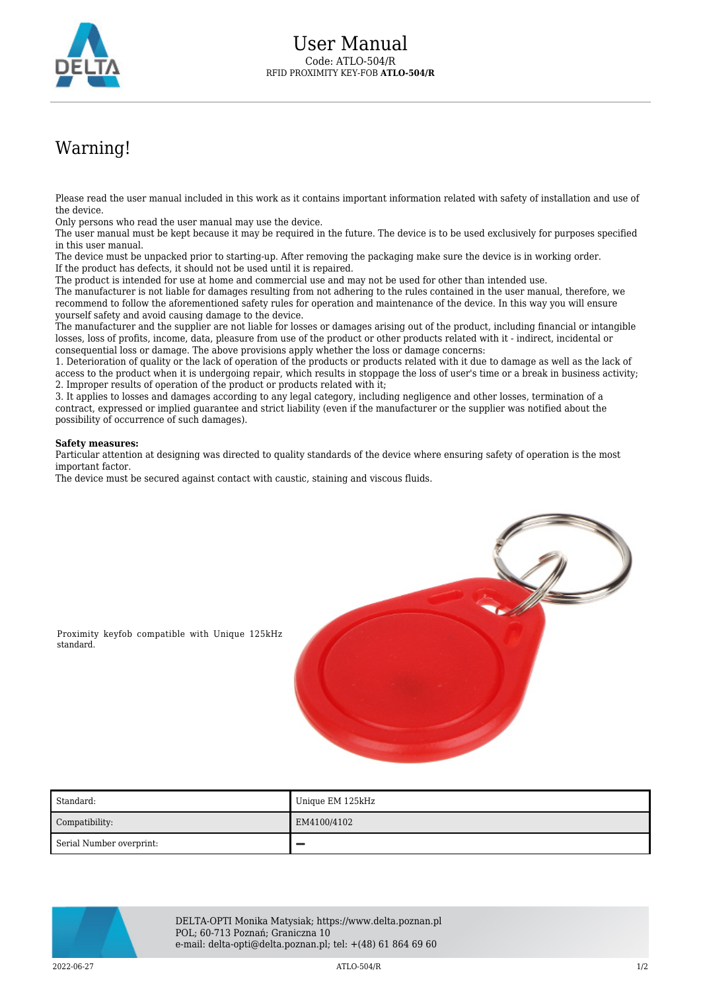

## Warning!

Please read the user manual included in this work as it contains important information related with safety of installation and use of the device.

Only persons who read the user manual may use the device.

The user manual must be kept because it may be required in the future. The device is to be used exclusively for purposes specified in this user manual.

The device must be unpacked prior to starting-up. After removing the packaging make sure the device is in working order. If the product has defects, it should not be used until it is repaired.

The product is intended for use at home and commercial use and may not be used for other than intended use.

The manufacturer is not liable for damages resulting from not adhering to the rules contained in the user manual, therefore, we recommend to follow the aforementioned safety rules for operation and maintenance of the device. In this way you will ensure yourself safety and avoid causing damage to the device.

The manufacturer and the supplier are not liable for losses or damages arising out of the product, including financial or intangible losses, loss of profits, income, data, pleasure from use of the product or other products related with it - indirect, incidental or consequential loss or damage. The above provisions apply whether the loss or damage concerns:

1. Deterioration of quality or the lack of operation of the products or products related with it due to damage as well as the lack of access to the product when it is undergoing repair, which results in stoppage the loss of user's time or a break in business activity; 2. Improper results of operation of the product or products related with it;

3. It applies to losses and damages according to any legal category, including negligence and other losses, termination of a contract, expressed or implied guarantee and strict liability (even if the manufacturer or the supplier was notified about the possibility of occurrence of such damages).

## **Safety measures:**

Particular attention at designing was directed to quality standards of the device where ensuring safety of operation is the most important factor.

The device must be secured against contact with caustic, staining and viscous fluids.



Proximity keyfob compatible with Unique 125kHz standard.

| Standard:                | Unique EM 125kHz |
|--------------------------|------------------|
| Compatibility:           | EM4100/4102      |
| Serial Number overprint: |                  |



DELTA-OPTI Monika Matysiak; https://www.delta.poznan.pl POL; 60-713 Poznań; Graniczna 10 e-mail: delta-opti@delta.poznan.pl; tel: +(48) 61 864 69 60